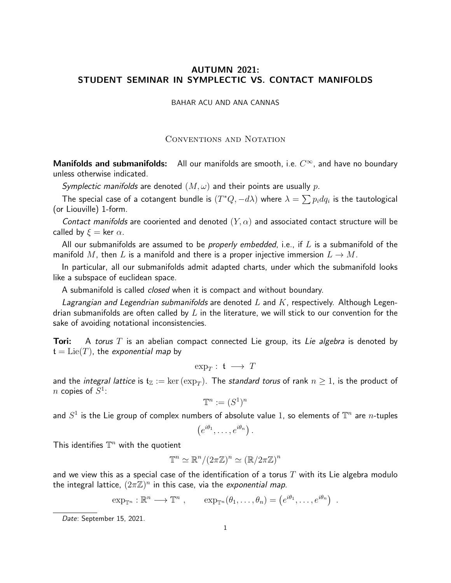## AUTUMN 2021: STUDENT SEMINAR IN SYMPLECTIC VS. CONTACT MANIFOLDS

BAHAR ACU AND ANA CANNAS

Conventions and Notation

Manifolds and submanifolds: All our manifolds are smooth, i.e.  $C^{\infty}$ , and have no boundary unless otherwise indicated.

Symplectic manifolds are denoted  $(M, \omega)$  and their points are usually p.

The special case of a cotangent bundle is  $(T^*Q, -d\lambda)$  where  $\lambda = \sum p_idq_i$  is the tautological (or Liouville) 1-form.

Contact manifolds are cooriented and denoted  $(Y,\alpha)$  and associated contact structure will be called by  $\xi = \ker \alpha$ .

All our submanifolds are assumed to be *properly embedded*, i.e., if  $L$  is a submanifold of the manifold M, then L is a manifold and there is a proper injective immersion  $L \to M$ .

In particular, all our submanifolds admit adapted charts, under which the submanifold looks like a subspace of euclidean space.

A submanifold is called *closed* when it is compact and without boundary.

Lagrangian and Legendrian submanifolds are denoted L and  $K$ , respectively. Although Legendrian submanifolds are often called by  $L$  in the literature, we will stick to our convention for the sake of avoiding notational inconsistencies.

**Tori:** A torus T is an abelian compact connected Lie group, its Lie algebra is denoted by  $t = Lie(T)$ , the exponential map by

$$
\exp_T: \mathfrak{t} \longrightarrow T
$$

and the *integral lattice* is  $\mathfrak{t}_{\mathbb{Z}}:=\ker\left(\exp_T\right)$ . The *standard torus* of rank  $n\geq 1$ , is the product of n copies of  $S^1$ :

$$
\mathbb{T}^n := (S^1)^n
$$

and  $S^1$  is the Lie group of complex numbers of absolute value 1, so elements of  $\mathbb{T}^n$  are  $n\text{-tuples}$ 

$$
(e^{i\theta_1},\ldots,e^{i\theta_n})\ .
$$

This identifies  $\mathbb{T}^n$  with the quotient

$$
\mathbb{T}^n \simeq \mathbb{R}^n / (2\pi \mathbb{Z})^n \simeq (\mathbb{R}/2\pi \mathbb{Z})^n
$$

and we view this as a special case of the identification of a torus  $T$  with its Lie algebra modulo the integral lattice,  $(2\pi\overline{\mathbb{Z}})^n$  in this case, via the *exponential map*.

 $\exp_{\mathbb{T}^n} : \mathbb{R}^n \longrightarrow \mathbb{T}^n , \qquad \exp_{\mathbb{T}^n}(\theta_1,\ldots,\theta_n) = (e^{i\theta_1},\ldots,e^{i\theta_n}) .$ 

Date: September 15, 2021.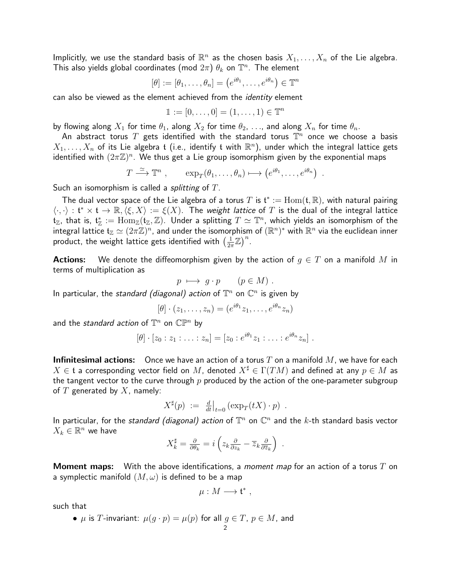Implicitly, we use the standard basis of  $\mathbb{R}^n$  as the chosen basis  $X_1,\ldots,X_n$  of the Lie algebra. This also yields global coordinates (mod  $2\pi)$   $\theta_k$  on  $\mathbb{T}^n$ . The element

$$
[\theta] := [\theta_1, \dots, \theta_n] = (e^{i\theta_1}, \dots, e^{i\theta_n}) \in \mathbb{T}^n
$$

can also be viewed as the element achieved from the *identity* element

$$
1:=[0,\ldots,0]=(1,\ldots,1)\in\mathbb{T}^n
$$

by flowing along  $X_1$  for time  $\theta_1$ , along  $X_2$  for time  $\theta_2$ , ..., and along  $X_n$  for time  $\theta_n$ .

An abstract torus  $T$  gets identified with the standard torus  $\mathbb{T}^n$  once we choose a basis  $X_1,\ldots,X_n$  of its Lie algebra  $\mathfrak t$  (i.e., identify  $\mathfrak t$  with  $\mathbb R^n)$ , under which the integral lattice gets identified with  $(2\pi\mathbb{Z})^n$ . We thus get a Lie group isomorphism given by the exponential maps

$$
T \stackrel{\simeq}{\longrightarrow} \mathbb{T}^n , \qquad \exp_T(\theta_1, \ldots, \theta_n) \longmapsto (e^{i\theta_1}, \ldots, e^{i\theta_n}) .
$$

Such an isomorphism is called a *splitting* of  $T$ .

The dual vector space of the Lie algebra of a torus  $T$  is  $\mathfrak{t}^*:=\mathrm{Hom}(\mathfrak{t},\mathbb{R})$ , with natural pairing  $\langle \cdot, \cdot \rangle : \mathfrak{t}^* \times \mathfrak{t} \to \mathbb{R}, \langle \xi, X \rangle := \xi(X)$ . The weight lattice of T is the dual of the integral lattice  $\mathfrak{t}_\mathbb{Z}$ , that is,  $\mathfrak{t}_\mathbb{Z}^*:=\mathrm{Hom}_\mathbb{Z}(\mathfrak{t}_\mathbb{Z},\mathbb{Z})$ . Under a splitting  $T\simeq \mathbb{T}^n$ , which yields an isomorphism of the integral lattice  $\mathfrak{t}_\mathbb{Z}\simeq (2\pi\mathbb{Z})^n$ , and under the isomorphism of  $(\mathbb{R}^n)^*$  with  $\mathbb{R}^n$  via the euclidean inner product, the weight lattice gets identified with  $\left(\frac{1}{2a}\right)$  $\frac{1}{2\pi}\mathbb{Z}^n\big)^n$ .

**Actions:** We denote the diffeomorphism given by the action of  $q \in T$  on a manifold M in terms of multiplication as

$$
p \ \longmapsto \ g \cdot p \qquad (p \in M) \ .
$$

In particular, the standard (diagonal) action of  $\mathbb{T}^n$  on  $\mathbb{C}^n$  is given by

$$
[\theta] \cdot (z_1, \ldots, z_n) = (e^{i\theta_1}z_1, \ldots, e^{i\theta_n}z_n)
$$

and the *standard action* of  $\mathbb{T}^n$  on  $\mathbb{CP}^n$  by

$$
[\theta] \cdot [z_0 : z_1 : \ldots : z_n] = [z_0 : e^{i\theta_1} z_1 : \ldots : e^{i\theta_n} z_n].
$$

**Infinitesimal actions:** Once we have an action of a torus  $T$  on a manifold  $M$ , we have for each  $X \in \mathfrak{t}$  a corresponding vector field on M, denoted  $X^{\sharp} \in \Gamma(TM)$  and defined at any  $p \in M$  as the tangent vector to the curve through p produced by the action of the one-parameter subgroup of  $T$  generated by  $X$ , namely:

$$
X^{\sharp}(p) := \frac{d}{dt}\big|_{t=0} (\exp_T(tX) \cdot p) .
$$

In particular, for the standard (diagonal) action of  $\mathbb{T}^n$  on  $\mathbb{C}^n$  and the  $k$ -th standard basis vector  $X_k \in \mathbb{R}^n$  we have

$$
X_k^{\sharp} = \frac{\partial}{\partial \theta_k} = i \left( z_k \frac{\partial}{\partial z_k} - \overline{z}_k \frac{\partial}{\partial \overline{z}_k} \right) .
$$

**Moment maps:** With the above identifications, a *moment map* for an action of a torus T on a symplectic manifold  $(M, \omega)$  is defined to be a map

$$
\mu: M \longrightarrow \mathfrak{t}^*,
$$

such that

•  $\mu$  is  $T$ -invariant:  $\mu(g \cdot p) = \mu(p)$  for all  $g \in T$ ,  $p \in M$ , and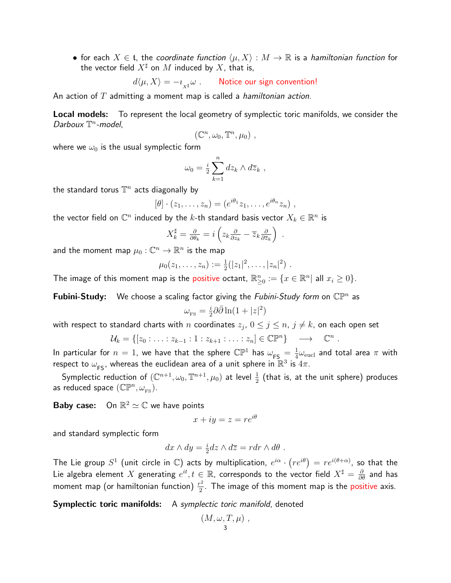• for each  $X \in \mathfrak{t}$ , the coordinate function  $\langle \mu, X \rangle : M \to \mathbb{R}$  is a hamiltonian function for the vector field  $X^{\sharp}$  on M induced by X, that is,

$$
d\langle \mu, X\rangle = -\imath_{_{X^\sharp}}\omega\ .\qquad \text{Notice our sign convention!}
$$

An action of  $T$  admitting a moment map is called a *hamiltonian action*.

**Local models:** To represent the local geometry of symplectic toric manifolds, we consider the Darboux  $\mathbb{T}^n$ -model,

$$
(\mathbb{C}^n, \omega_0, \mathbb{T}^n, \mu_0) ,
$$

where we  $\omega_0$  is the usual symplectic form

$$
\omega_0 = \frac{i}{2} \sum_{k=1}^n dz_k \wedge d\overline{z}_k ,
$$

the standard torus  $\mathbb{T}^n$  acts diagonally by

$$
[\theta] \cdot (z_1, \ldots, z_n) = (e^{i\theta_1}z_1, \ldots, e^{i\theta_n}z_n) ,
$$

the vector field on  $\mathbb{C}^n$  induced by the  $k$ -th standard basis vector  $X_k \in \mathbb{R}^n$  is

$$
X_k^{\sharp} = \frac{\partial}{\partial \theta_k} = i \left( z_k \frac{\partial}{\partial z_k} - \overline{z}_k \frac{\partial}{\partial \overline{z}_k} \right) .
$$

and the moment map  $\mu_0: \mathbb{C}^n \rightarrow \mathbb{R}^n$  is the map

$$
\mu_0(z_1,\ldots,z_n):=\frac{1}{2}(|z_1|^2,\ldots,|z_n|^2).
$$

The image of this moment map is the positive octant,  $\mathbb{R}^n_{\geq 0}:=\{x\in\mathbb{R}^n|\,$  all  $x_i\geq 0\}.$ 

Fubini-Study: We choose a scaling factor giving the Fubini-Study form on  $\mathbb{CP}^n$  as

$$
\omega_{\rm FS} = \frac{i}{2} \partial \bar{\partial} \ln(1+|z|^2)
$$

with respect to standard charts with  $n$  coordinates  $z_j, \, 0 \le j \le n, \, j \ne k,$  on each open set

$$
\mathcal{U}_k = \{ [z_0 : \ldots : z_{k-1} : 1 : z_{k+1} : \ldots : z_n] \in \mathbb{C}\mathbb{P}^n \} \longrightarrow \mathbb{C}^n.
$$

In particular for  $n=1$ , we have that the sphere  $\mathbb{CP}^1$  has  $\omega_{\mathsf{FS}} = \frac{1}{4}$  $\frac{1}{4}\omega_\mathrm{eucl}$  and total area  $\pi$  with respect to  $\omega_{\textsf{FS}}$ , whereas the euclidean area of a unit sphere in  $\mathbb{R}^3$  is  $4\pi$ .

Symplectic reduction of  $(\mathbb{C}^{n+1},\omega_0,\mathbb{T}^{n+1},\mu_0)$  at level  $\frac{1}{2}$  (that is, at the unit sphere) produces as reduced space  $(\mathbb{CP}^n, \omega_{\text{\tiny FS}})$ .

**Baby case:** On  $\mathbb{R}^2 \simeq \mathbb{C}$  we have points

$$
x + iy = z = re^{i\theta}
$$

and standard symplectic form

$$
dx \wedge dy = \frac{i}{2} dz \wedge d\overline{z} = r dr \wedge d\theta.
$$

The Lie group  $S^1$  (unit circle in  $\mathbb C)$  acts by multiplication,  $e^{i\alpha} \cdot \left(re^{i\theta}\right) = re^{i(\theta+\alpha)},$  so that the Lie algebra element  $X$  generating  $e^{it}, t\in\mathbb{R}$ , corresponds to the vector field  $X^\sharp=\frac{\partial}{\partial\theta}$  and has moment map (or hamiltonian function)  $\frac{r^2}{2}$  $\frac{2}{2}$ . The image of this moment map is the positive axis.

**Symplectic toric manifolds:** A symplectic toric manifold, denoted

$$
(M,\omega,T,\mu) ,
$$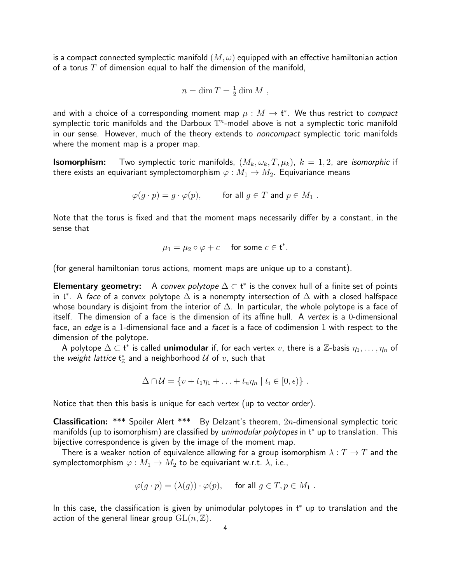is a compact connected symplectic manifold  $(M, \omega)$  equipped with an effective hamiltonian action of a torus  $T$  of dimension equal to half the dimension of the manifold,

$$
n = \dim T = \frac{1}{2} \dim M ,
$$

and with a choice of a corresponding moment map  $\mu:M\to \mathfrak{t}^*$ . We thus restrict to *compact* symplectic toric manifolds and the Darboux  $\mathbb{T}^n$ -model above is not a symplectic toric manifold in our sense. However, much of the theory extends to *noncompact* symplectic toric manifolds where the moment map is a proper map.

**Isomorphism:** Two symplectic toric manifolds,  $(M_k, \omega_k, T, \mu_k)$ ,  $k = 1, 2$ , are *isomorphic* if there exists an equivariant symplectomorphism  $\varphi : M_1 \to M_2$ . Equivariance means

$$
\varphi(g \cdot p) = g \cdot \varphi(p), \quad \text{for all } g \in T \text{ and } p \in M_1 .
$$

Note that the torus is fixed and that the moment maps necessarily differ by a constant, in the sense that

$$
\mu_1 = \mu_2 \circ \varphi + c \quad \text{ for some } c \in \mathfrak{t}^*.
$$

(for general hamiltonian torus actions, moment maps are unique up to a constant).

Elementary geometry: A convex polytope  $\Delta \subset \mathfrak{t}^*$  is the convex hull of a finite set of points in  $\mathfrak{t}^*$ . A *face* of a convex polytope  $\Delta$  is a nonempty intersection of  $\Delta$  with a closed halfspace whose boundary is disjoint from the interior of  $\Delta$ . In particular, the whole polytope is a face of itself. The dimension of a face is the dimension of its affine hull. A vertex is a 0-dimensional face, an edge is a 1-dimensional face and a facet is a face of codimension 1 with respect to the dimension of the polytope.

A polytope  $\Delta\subset\mathfrak{t}^*$  is called **unimodular** if, for each vertex  $v$ , there is a  $\mathbb{Z}$ -basis  $\eta_1,\ldots,\eta_n$  of the *weight lattice*  $\mathfrak{t}_\mathbb{Z}^*$  and a neighborhood  $\mathcal U$  of  $v$ , such that

$$
\Delta \cap \mathcal{U} = \{v + t_1 \eta_1 + \ldots + t_n \eta_n \mid t_i \in [0, \epsilon)\}.
$$

Notice that then this basis is unique for each vertex (up to vector order).

Classification: \*\*\* Spoiler Alert \*\*\* By Delzant's theorem, 2n-dimensional symplectic toric manifolds (up to isomorphism) are classified by *unimodular polytopes* in  $t^*$  up to translation. This bijective correspondence is given by the image of the moment map.

There is a weaker notion of equivalence allowing for a group isomorphism  $\lambda : T \to T$  and the symplectomorphism  $\varphi : M_1 \to M_2$  to be equivariant w.r.t.  $\lambda$ , i.e.,

$$
\varphi(g \cdot p) = (\lambda(g)) \cdot \varphi(p), \quad \text{ for all } g \in T, p \in M_1 .
$$

In this case, the classification is given by unimodular polytopes in  $t^*$  up to translation and the action of the general linear group  $GL(n, \mathbb{Z})$ .